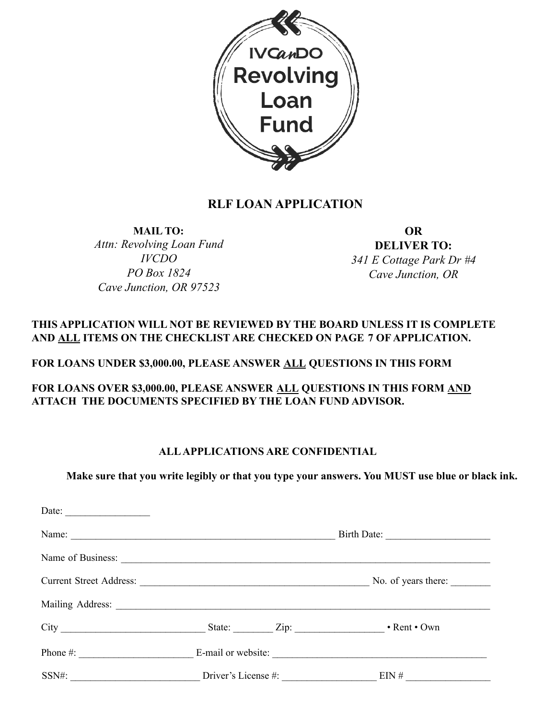

## **RLF LOAN APPLICATION**

**MAIL TO:**

*Attn: Revolving Loan Fund IVCDO PO Box 1824 Cave Junction, OR 97523*

**OR**

**DELIVER TO:** *341 E Cottage Park Dr #4 Cave Junction, OR*

## **THIS APPLICATION WILL NOT BE REVIEWED BY THE BOARD UNLESS IT IS COMPLETE AND ALL ITEMS ON THE CHECKLIST ARE CHECKED ON PAGE 7 OF APPLICATION.**

## **FOR LOANS UNDER \$3,000.00, PLEASE ANSWER ALL QUESTIONS IN THIS FORM**

**FOR LOANS OVER \$3,000.00, PLEASE ANSWER ALL QUESTIONS IN THIS FORM AND ATTACH THE DOCUMENTS SPECIFIED BY THE LOAN FUND ADVISOR.**

### **ALLAPPLICATIONS ARE CONFIDENTIAL**

**Make sure that you write legibly or that you type your answers. You MUST use blue or black ink.**

| Date: $\qquad \qquad$ |                                                                 |             |
|-----------------------|-----------------------------------------------------------------|-------------|
|                       |                                                                 | Birth Date: |
|                       |                                                                 |             |
|                       | Current Street Address: No. of years there:                     |             |
|                       |                                                                 |             |
|                       |                                                                 |             |
|                       |                                                                 |             |
|                       | SSN#: $\qquad \qquad$ Driver's License #: $\qquad \qquad$ EIN # |             |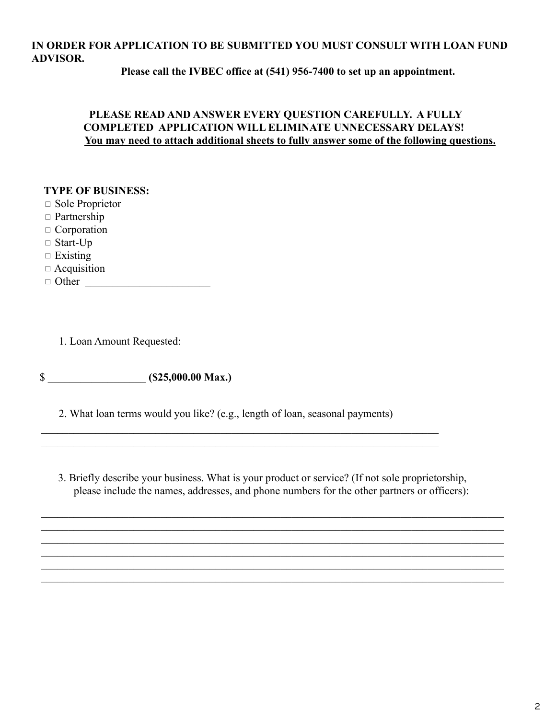## **IN ORDER FOR APPLICATION TO BE SUBMITTED YOU MUST CONSULT WITH LOAN FUND ADVISOR.**

**Please call the IVBEC office at (541) 956-7400 to set up an appointment.**

### **PLEASE READ AND ANSWER EVERY QUESTION CAREFULLY. A FULLY COMPLETED APPLICATION WILL ELIMINATE UNNECESSARY DELAYS! You may need to attach additional sheets to fully answer some of the following questions.**

#### **TYPE OF BUSINESS:**

◻ Sole Proprietor

- ◻ Partnership
- ◻ Corporation
- $\square$  Start-Up
- $\square$  Existing
- ◻ Acquisition
- $\Box$  Other

1. Loan Amount Requested:

\$ \_\_\_\_\_\_\_\_\_\_\_\_\_\_\_\_\_\_ **(\$25,000.00 Max.)**

2. What loan terms would you like? (e.g., length of loan, seasonal payments)

 $\_$  , and the set of the set of the set of the set of the set of the set of the set of the set of the set of the set of the set of the set of the set of the set of the set of the set of the set of the set of the set of th  $\mathcal{L}_\text{max} = \mathcal{L}_\text{max} = \mathcal{L}_\text{max} = \mathcal{L}_\text{max} = \mathcal{L}_\text{max} = \mathcal{L}_\text{max} = \mathcal{L}_\text{max} = \mathcal{L}_\text{max} = \mathcal{L}_\text{max} = \mathcal{L}_\text{max} = \mathcal{L}_\text{max} = \mathcal{L}_\text{max} = \mathcal{L}_\text{max} = \mathcal{L}_\text{max} = \mathcal{L}_\text{max} = \mathcal{L}_\text{max} = \mathcal{L}_\text{max} = \mathcal{L}_\text{max} = \mathcal{$ 

3. Briefly describe your business. What is your product or service? (If not sole proprietorship, please include the names, addresses, and phone numbers for the other partners or officers):

 $\mathcal{L}_\mathcal{L} = \{ \mathcal{L}_\mathcal{L} = \{ \mathcal{L}_\mathcal{L} = \{ \mathcal{L}_\mathcal{L} = \{ \mathcal{L}_\mathcal{L} = \{ \mathcal{L}_\mathcal{L} = \{ \mathcal{L}_\mathcal{L} = \{ \mathcal{L}_\mathcal{L} = \{ \mathcal{L}_\mathcal{L} = \{ \mathcal{L}_\mathcal{L} = \{ \mathcal{L}_\mathcal{L} = \{ \mathcal{L}_\mathcal{L} = \{ \mathcal{L}_\mathcal{L} = \{ \mathcal{L}_\mathcal{L} = \{ \mathcal{L}_\mathcal{$  $\mathcal{L}_\mathcal{L} = \{ \mathcal{L}_\mathcal{L} = \{ \mathcal{L}_\mathcal{L} = \{ \mathcal{L}_\mathcal{L} = \{ \mathcal{L}_\mathcal{L} = \{ \mathcal{L}_\mathcal{L} = \{ \mathcal{L}_\mathcal{L} = \{ \mathcal{L}_\mathcal{L} = \{ \mathcal{L}_\mathcal{L} = \{ \mathcal{L}_\mathcal{L} = \{ \mathcal{L}_\mathcal{L} = \{ \mathcal{L}_\mathcal{L} = \{ \mathcal{L}_\mathcal{L} = \{ \mathcal{L}_\mathcal{L} = \{ \mathcal{L}_\mathcal{$  $\mathcal{L}_\mathcal{L} = \{ \mathcal{L}_\mathcal{L} = \{ \mathcal{L}_\mathcal{L} = \{ \mathcal{L}_\mathcal{L} = \{ \mathcal{L}_\mathcal{L} = \{ \mathcal{L}_\mathcal{L} = \{ \mathcal{L}_\mathcal{L} = \{ \mathcal{L}_\mathcal{L} = \{ \mathcal{L}_\mathcal{L} = \{ \mathcal{L}_\mathcal{L} = \{ \mathcal{L}_\mathcal{L} = \{ \mathcal{L}_\mathcal{L} = \{ \mathcal{L}_\mathcal{L} = \{ \mathcal{L}_\mathcal{L} = \{ \mathcal{L}_\mathcal{$  $\mathcal{L}_\mathcal{L} = \{ \mathcal{L}_\mathcal{L} = \{ \mathcal{L}_\mathcal{L} = \{ \mathcal{L}_\mathcal{L} = \{ \mathcal{L}_\mathcal{L} = \{ \mathcal{L}_\mathcal{L} = \{ \mathcal{L}_\mathcal{L} = \{ \mathcal{L}_\mathcal{L} = \{ \mathcal{L}_\mathcal{L} = \{ \mathcal{L}_\mathcal{L} = \{ \mathcal{L}_\mathcal{L} = \{ \mathcal{L}_\mathcal{L} = \{ \mathcal{L}_\mathcal{L} = \{ \mathcal{L}_\mathcal{L} = \{ \mathcal{L}_\mathcal{$  $\mathcal{L}_\mathcal{L} = \{ \mathcal{L}_\mathcal{L} = \{ \mathcal{L}_\mathcal{L} = \{ \mathcal{L}_\mathcal{L} = \{ \mathcal{L}_\mathcal{L} = \{ \mathcal{L}_\mathcal{L} = \{ \mathcal{L}_\mathcal{L} = \{ \mathcal{L}_\mathcal{L} = \{ \mathcal{L}_\mathcal{L} = \{ \mathcal{L}_\mathcal{L} = \{ \mathcal{L}_\mathcal{L} = \{ \mathcal{L}_\mathcal{L} = \{ \mathcal{L}_\mathcal{L} = \{ \mathcal{L}_\mathcal{L} = \{ \mathcal{L}_\mathcal{$  $\mathcal{L}_\mathcal{L} = \{ \mathcal{L}_\mathcal{L} = \{ \mathcal{L}_\mathcal{L} = \{ \mathcal{L}_\mathcal{L} = \{ \mathcal{L}_\mathcal{L} = \{ \mathcal{L}_\mathcal{L} = \{ \mathcal{L}_\mathcal{L} = \{ \mathcal{L}_\mathcal{L} = \{ \mathcal{L}_\mathcal{L} = \{ \mathcal{L}_\mathcal{L} = \{ \mathcal{L}_\mathcal{L} = \{ \mathcal{L}_\mathcal{L} = \{ \mathcal{L}_\mathcal{L} = \{ \mathcal{L}_\mathcal{L} = \{ \mathcal{L}_\mathcal{$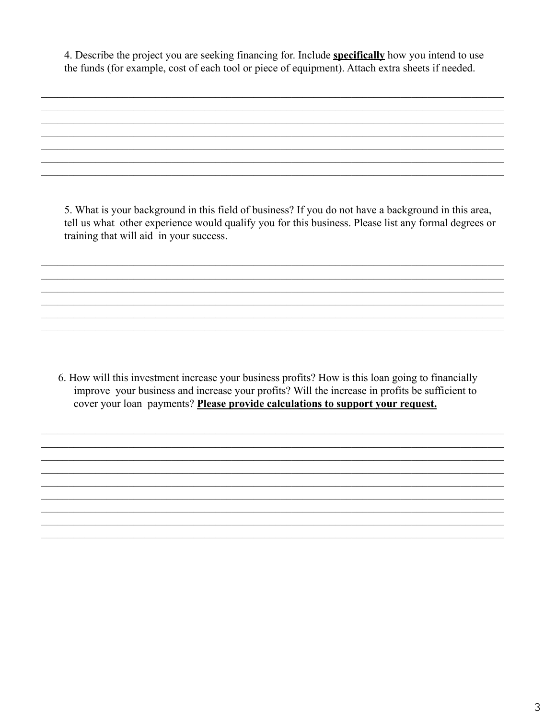4. Describe the project you are seeking financing for. Include **specifically** how you intend to use the funds (for example, cost of each tool or piece of equipment). Attach extra sheets if needed.

5. What is your background in this field of business? If you do not have a background in this area, tell us what other experience would qualify you for this business. Please list any formal degrees or training that will aid in your success.

6. How will this investment increase your business profits? How is this loan going to financially improve your business and increase your profits? Will the increase in profits be sufficient to cover your loan payments? Please provide calculations to support your request.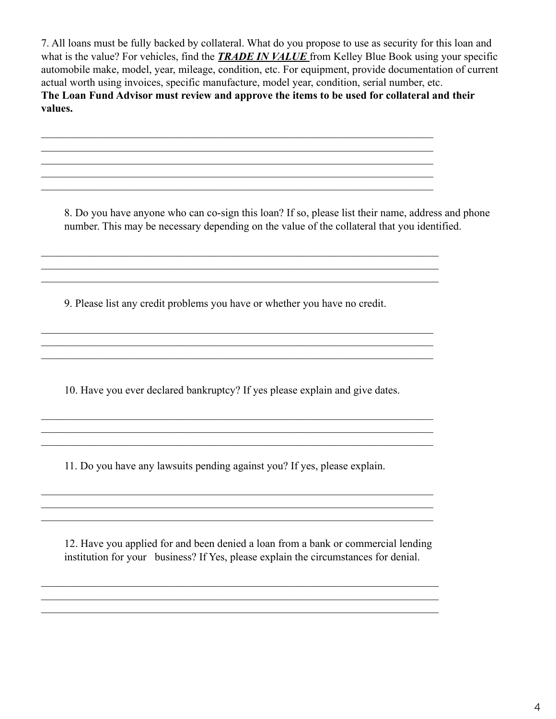7. All loans must be fully backed by collateral. What do you propose to use as security for this loan and what is the value? For vehicles, find the *TRADE IN VALUE* from Kelley Blue Book using your specific automobile make, model, year, mileage, condition, etc. For equipment, provide documentation of current actual worth using invoices, specific manufacture, model year, condition, serial number, etc. **The Loan Fund Advisor must review and approve the items to be used for collateral and their values.**

 $\mathcal{L}_\mathcal{L} = \{ \mathcal{L}_\mathcal{L} = \{ \mathcal{L}_\mathcal{L} = \{ \mathcal{L}_\mathcal{L} = \{ \mathcal{L}_\mathcal{L} = \{ \mathcal{L}_\mathcal{L} = \{ \mathcal{L}_\mathcal{L} = \{ \mathcal{L}_\mathcal{L} = \{ \mathcal{L}_\mathcal{L} = \{ \mathcal{L}_\mathcal{L} = \{ \mathcal{L}_\mathcal{L} = \{ \mathcal{L}_\mathcal{L} = \{ \mathcal{L}_\mathcal{L} = \{ \mathcal{L}_\mathcal{L} = \{ \mathcal{L}_\mathcal{$ 

 $\mathcal{L}_\text{max}$ 

 $\mathcal{L}_\text{max} = \mathcal{L}_\text{max} = \mathcal{L}_\text{max} = \mathcal{L}_\text{max} = \mathcal{L}_\text{max} = \mathcal{L}_\text{max} = \mathcal{L}_\text{max} = \mathcal{L}_\text{max} = \mathcal{L}_\text{max} = \mathcal{L}_\text{max} = \mathcal{L}_\text{max} = \mathcal{L}_\text{max} = \mathcal{L}_\text{max} = \mathcal{L}_\text{max} = \mathcal{L}_\text{max} = \mathcal{L}_\text{max} = \mathcal{L}_\text{max} = \mathcal{L}_\text{max} = \mathcal{$  $\mathcal{L}_\text{max} = \mathcal{L}_\text{max} = \mathcal{L}_\text{max} = \mathcal{L}_\text{max} = \mathcal{L}_\text{max} = \mathcal{L}_\text{max} = \mathcal{L}_\text{max} = \mathcal{L}_\text{max} = \mathcal{L}_\text{max} = \mathcal{L}_\text{max} = \mathcal{L}_\text{max} = \mathcal{L}_\text{max} = \mathcal{L}_\text{max} = \mathcal{L}_\text{max} = \mathcal{L}_\text{max} = \mathcal{L}_\text{max} = \mathcal{L}_\text{max} = \mathcal{L}_\text{max} = \mathcal{$ 

 $\mathcal{L}_\text{max} = \mathcal{L}_\text{max} = \mathcal{L}_\text{max} = \mathcal{L}_\text{max} = \mathcal{L}_\text{max} = \mathcal{L}_\text{max} = \mathcal{L}_\text{max} = \mathcal{L}_\text{max} = \mathcal{L}_\text{max} = \mathcal{L}_\text{max} = \mathcal{L}_\text{max} = \mathcal{L}_\text{max} = \mathcal{L}_\text{max} = \mathcal{L}_\text{max} = \mathcal{L}_\text{max} = \mathcal{L}_\text{max} = \mathcal{L}_\text{max} = \mathcal{L}_\text{max} = \mathcal{$  $\mathcal{L}_\text{max} = \mathcal{L}_\text{max} = \mathcal{L}_\text{max} = \mathcal{L}_\text{max} = \mathcal{L}_\text{max} = \mathcal{L}_\text{max} = \mathcal{L}_\text{max} = \mathcal{L}_\text{max} = \mathcal{L}_\text{max} = \mathcal{L}_\text{max} = \mathcal{L}_\text{max} = \mathcal{L}_\text{max} = \mathcal{L}_\text{max} = \mathcal{L}_\text{max} = \mathcal{L}_\text{max} = \mathcal{L}_\text{max} = \mathcal{L}_\text{max} = \mathcal{L}_\text{max} = \mathcal{$ 

8. Do you have anyone who can co-sign this loan? If so, please list their name, address and phone number. This may be necessary depending on the value of the collateral that you identified.

 $\_$  , and the set of the set of the set of the set of the set of the set of the set of the set of the set of the set of the set of the set of the set of the set of the set of the set of the set of the set of the set of th

 $\mathcal{L}_\text{max}$  , and the set of the set of the set of the set of the set of the set of the set of the set of the set of the set of the set of the set of the set of the set of the set of the set of the set of the set of the

9. Please list any credit problems you have or whether you have no credit.

 $\_$  , and the set of the set of the set of the set of the set of the set of the set of the set of the set of the set of the set of the set of the set of the set of the set of the set of the set of the set of the set of th  $\mathcal{L}_\text{max} = \mathcal{L}_\text{max} = \mathcal{L}_\text{max} = \mathcal{L}_\text{max} = \mathcal{L}_\text{max} = \mathcal{L}_\text{max} = \mathcal{L}_\text{max} = \mathcal{L}_\text{max} = \mathcal{L}_\text{max} = \mathcal{L}_\text{max} = \mathcal{L}_\text{max} = \mathcal{L}_\text{max} = \mathcal{L}_\text{max} = \mathcal{L}_\text{max} = \mathcal{L}_\text{max} = \mathcal{L}_\text{max} = \mathcal{L}_\text{max} = \mathcal{L}_\text{max} = \mathcal{$ 

10. Have you ever declared bankruptcy? If yes please explain and give dates.

 $\_$  , and the set of the set of the set of the set of the set of the set of the set of the set of the set of the set of the set of the set of the set of the set of the set of the set of the set of the set of the set of th  $\mathcal{L}_\text{max} = \mathcal{L}_\text{max} = \mathcal{L}_\text{max} = \mathcal{L}_\text{max} = \mathcal{L}_\text{max} = \mathcal{L}_\text{max} = \mathcal{L}_\text{max} = \mathcal{L}_\text{max} = \mathcal{L}_\text{max} = \mathcal{L}_\text{max} = \mathcal{L}_\text{max} = \mathcal{L}_\text{max} = \mathcal{L}_\text{max} = \mathcal{L}_\text{max} = \mathcal{L}_\text{max} = \mathcal{L}_\text{max} = \mathcal{L}_\text{max} = \mathcal{L}_\text{max} = \mathcal{$  $\mathcal{L}_\text{max}$ 

 $\mathcal{L}_\text{max} = \mathcal{L}_\text{max} = \mathcal{L}_\text{max} = \mathcal{L}_\text{max} = \mathcal{L}_\text{max} = \mathcal{L}_\text{max} = \mathcal{L}_\text{max} = \mathcal{L}_\text{max} = \mathcal{L}_\text{max} = \mathcal{L}_\text{max} = \mathcal{L}_\text{max} = \mathcal{L}_\text{max} = \mathcal{L}_\text{max} = \mathcal{L}_\text{max} = \mathcal{L}_\text{max} = \mathcal{L}_\text{max} = \mathcal{L}_\text{max} = \mathcal{L}_\text{max} = \mathcal{$ 

 $\mathcal{L}_\text{max} = \mathcal{L}_\text{max} = \mathcal{L}_\text{max} = \mathcal{L}_\text{max} = \mathcal{L}_\text{max} = \mathcal{L}_\text{max} = \mathcal{L}_\text{max} = \mathcal{L}_\text{max} = \mathcal{L}_\text{max} = \mathcal{L}_\text{max} = \mathcal{L}_\text{max} = \mathcal{L}_\text{max} = \mathcal{L}_\text{max} = \mathcal{L}_\text{max} = \mathcal{L}_\text{max} = \mathcal{L}_\text{max} = \mathcal{L}_\text{max} = \mathcal{L}_\text{max} = \mathcal{$ 

11. Do you have any lawsuits pending against you? If yes, please explain.

12. Have you applied for and been denied a loan from a bank or commercial lending institution for your business? If Yes, please explain the circumstances for denial.

 $\mathcal{L}_\text{max}$ 

 $\mathcal{L}_\text{max} = \mathcal{L}_\text{max} = \mathcal{L}_\text{max} = \mathcal{L}_\text{max} = \mathcal{L}_\text{max} = \mathcal{L}_\text{max} = \mathcal{L}_\text{max} = \mathcal{L}_\text{max} = \mathcal{L}_\text{max} = \mathcal{L}_\text{max} = \mathcal{L}_\text{max} = \mathcal{L}_\text{max} = \mathcal{L}_\text{max} = \mathcal{L}_\text{max} = \mathcal{L}_\text{max} = \mathcal{L}_\text{max} = \mathcal{L}_\text{max} = \mathcal{L}_\text{max} = \mathcal{$  $\mathcal{L}_\text{max} = \mathcal{L}_\text{max} = \mathcal{L}_\text{max} = \mathcal{L}_\text{max} = \mathcal{L}_\text{max} = \mathcal{L}_\text{max} = \mathcal{L}_\text{max} = \mathcal{L}_\text{max} = \mathcal{L}_\text{max} = \mathcal{L}_\text{max} = \mathcal{L}_\text{max} = \mathcal{L}_\text{max} = \mathcal{L}_\text{max} = \mathcal{L}_\text{max} = \mathcal{L}_\text{max} = \mathcal{L}_\text{max} = \mathcal{L}_\text{max} = \mathcal{L}_\text{max} = \mathcal{$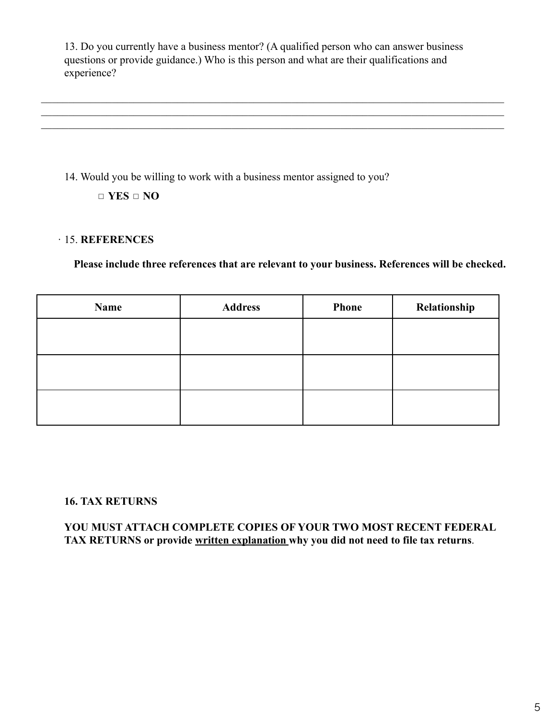13. Do you currently have a business mentor? (A qualified person who can answer business questions or provide guidance.) Who is this person and what are their qualifications and experience?

 $\mathcal{L}_\mathcal{L} = \{ \mathcal{L}_\mathcal{L} = \{ \mathcal{L}_\mathcal{L} = \{ \mathcal{L}_\mathcal{L} = \{ \mathcal{L}_\mathcal{L} = \{ \mathcal{L}_\mathcal{L} = \{ \mathcal{L}_\mathcal{L} = \{ \mathcal{L}_\mathcal{L} = \{ \mathcal{L}_\mathcal{L} = \{ \mathcal{L}_\mathcal{L} = \{ \mathcal{L}_\mathcal{L} = \{ \mathcal{L}_\mathcal{L} = \{ \mathcal{L}_\mathcal{L} = \{ \mathcal{L}_\mathcal{L} = \{ \mathcal{L}_\mathcal{$  $\mathcal{L}_\mathcal{L} = \{ \mathcal{L}_\mathcal{L} = \{ \mathcal{L}_\mathcal{L} = \{ \mathcal{L}_\mathcal{L} = \{ \mathcal{L}_\mathcal{L} = \{ \mathcal{L}_\mathcal{L} = \{ \mathcal{L}_\mathcal{L} = \{ \mathcal{L}_\mathcal{L} = \{ \mathcal{L}_\mathcal{L} = \{ \mathcal{L}_\mathcal{L} = \{ \mathcal{L}_\mathcal{L} = \{ \mathcal{L}_\mathcal{L} = \{ \mathcal{L}_\mathcal{L} = \{ \mathcal{L}_\mathcal{L} = \{ \mathcal{L}_\mathcal{$  $\mathcal{L}_\mathcal{L} = \{ \mathcal{L}_\mathcal{L} = \{ \mathcal{L}_\mathcal{L} = \{ \mathcal{L}_\mathcal{L} = \{ \mathcal{L}_\mathcal{L} = \{ \mathcal{L}_\mathcal{L} = \{ \mathcal{L}_\mathcal{L} = \{ \mathcal{L}_\mathcal{L} = \{ \mathcal{L}_\mathcal{L} = \{ \mathcal{L}_\mathcal{L} = \{ \mathcal{L}_\mathcal{L} = \{ \mathcal{L}_\mathcal{L} = \{ \mathcal{L}_\mathcal{L} = \{ \mathcal{L}_\mathcal{L} = \{ \mathcal{L}_\mathcal{$ 

14. Would you be willing to work with a business mentor assigned to you?

◻ **YES** ◻ **NO**

### ∙ 15. **REFERENCES**

**Please include three references that are relevant to your business. References will be checked.**

| Name | <b>Address</b> | Phone | Relationship |
|------|----------------|-------|--------------|
|      |                |       |              |
|      |                |       |              |
|      |                |       |              |
|      |                |       |              |
|      |                |       |              |
|      |                |       |              |

## **16. TAX RETURNS**

**YOU MUST ATTACH COMPLETE COPIES OF YOUR TWO MOST RECENT FEDERAL TAX RETURNS or provide written explanation why you did not need to file tax returns**.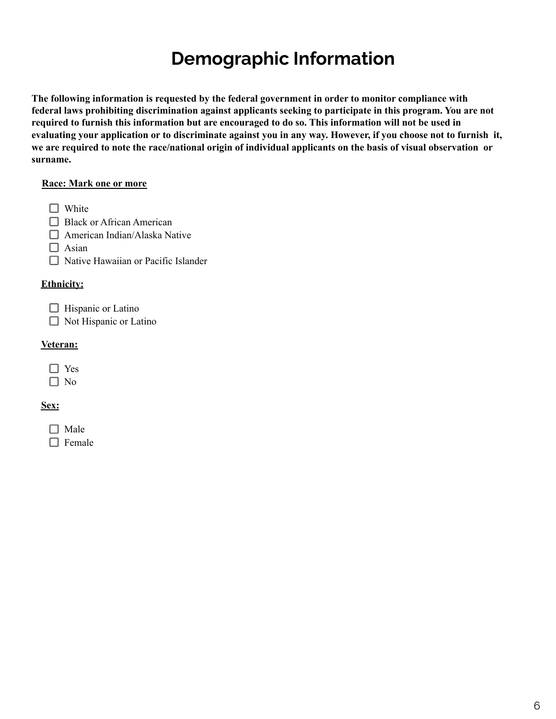## **Demographic Information**

**The following information is requested by the federal government in order to monitor compliance with federal laws prohibiting discrimination against applicants seeking to participate in this program. You are not** required to furnish this information but are encouraged to do so. This information will not be used in evaluating your application or to discriminate against you in any way. However, if you choose not to furnish it, we are required to note the race/national origin of individual applicants on the basis of visual observation or **surname.**

#### **Race: Mark one or more**

 $\Box$  White

- □ Black or African American
- □ American Indian/Alaska Native

 $\Box$  Asian

 $\Box$  Native Hawaiian or Pacific Islander

#### **Ethnicity:**

 $\Box$  Hispanic or Latino

 $\Box$  Not Hispanic or Latino

#### **Veteran:**

#### **Sex:**

 $\Box$  Male  $\Box$  Female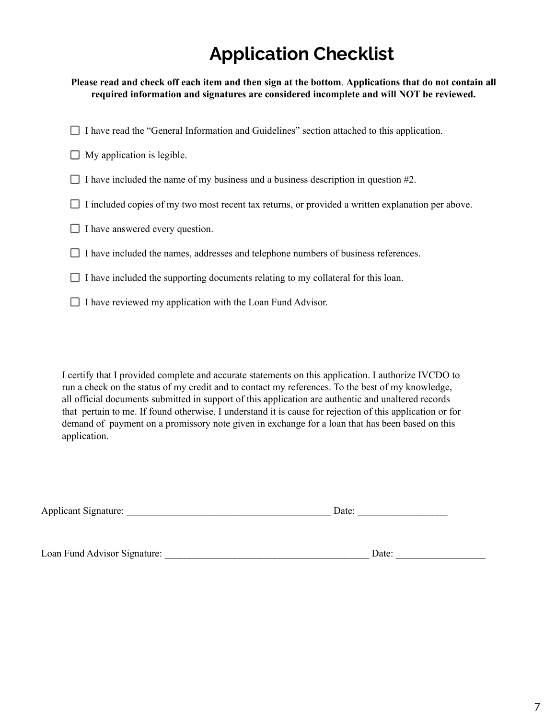## **Application Checklist**

Please read and check off each item and then sign at the bottom. Applications that do not contain all **required information and signatures are considered incomplete and will NOT be reviewed.**

- $\Box$  I have read the "General Information and Guidelines" section attached to this application.
- $\Box$  My application is legible.
- $\Box$  I have included the name of my business and a business description in question #2.
- $\Box$  I included copies of my two most recent tax returns, or provided a written explanation per above.
- $\Box$  I have answered every question.
- $\Box$  I have included the names, addresses and telephone numbers of business references.
- $\Box$  I have included the supporting documents relating to my collateral for this loan.
- $\Box$  I have reviewed my application with the Loan Fund Advisor.

I certify that I provided complete and accurate statements on this application. I authorize IVCDO to run a check on the status of my credit and to contact my references. To the best of my knowledge, all official documents submitted in support of this application are authentic and unaltered records that pertain to me. If found otherwise, I understand it is cause for rejection of this application or for demand of payment on a promissory note given in exchange for a loan that has been based on this application.

| <b>Applicant Signature:</b> | Date: |
|-----------------------------|-------|
|-----------------------------|-------|

Loan Fund Advisor Signature: \_\_\_\_\_\_\_\_\_\_\_\_\_\_\_\_\_\_\_\_\_\_\_\_\_\_\_\_\_\_\_\_\_\_\_\_\_\_\_\_\_ Date: \_\_\_\_\_\_\_\_\_\_\_\_\_\_\_\_\_\_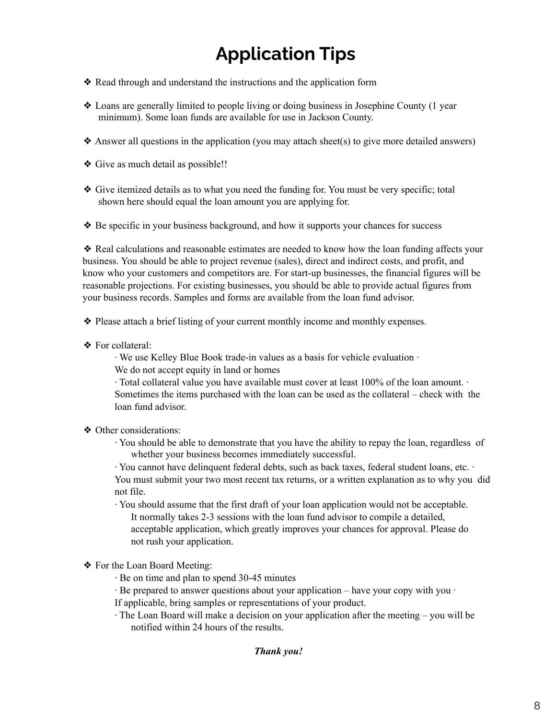# **Application Tips**

- ❖ Read through and understand the instructions and the application form
- ❖ Loans are generally limited to people living or doing business in Josephine County (1 year minimum). Some loan funds are available for use in Jackson County.
- ❖ Answer all questions in the application (you may attach sheet(s) to give more detailed answers)
- ❖ Give as much detail as possible!!
- ❖ Give itemized details as to what you need the funding for. You must be very specific; total shown here should equal the loan amount you are applying for.
- ❖ Be specific in your business background, and how it supports your chances for success

❖ Real calculations and reasonable estimates are needed to know how the loan funding affects your business. You should be able to project revenue (sales), direct and indirect costs, and profit, and know who your customers and competitors are. For start-up businesses, the financial figures will be reasonable projections. For existing businesses, you should be able to provide actual figures from your business records. Samples and forms are available from the loan fund advisor.

- ❖ Please attach a brief listing of your current monthly income and monthly expenses.
- ❖ For collateral:

∙ We use Kelley Blue Book trade-in values as a basis for vehicle evaluation ∙ We do not accept equity in land or homes

∙ Total collateral value you have available must cover at least 100% of the loan amount. ∙ Sometimes the items purchased with the loan can be used as the collateral – check with the loan fund advisor.

- ❖ Other considerations:
	- ∙ You should be able to demonstrate that you have the ability to repay the loan, regardless of whether your business becomes immediately successful.

∙ You cannot have delinquent federal debts, such as back taxes, federal student loans, etc. ∙ You must submit your two most recent tax returns, or a written explanation as to why you did not file.

∙ You should assume that the first draft of your loan application would not be acceptable. It normally takes 2-3 sessions with the loan fund advisor to compile a detailed, acceptable application, which greatly improves your chances for approval. Please do not rush your application.

- ❖ For the Loan Board Meeting:
	- ∙ Be on time and plan to spend 30-45 minutes
	- ∙ Be prepared to answer questions about your application have your copy with you ∙

If applicable, bring samples or representations of your product.

∙ The Loan Board will make a decision on your application after the meeting – you will be notified within 24 hours of the results.

#### *Thank you!*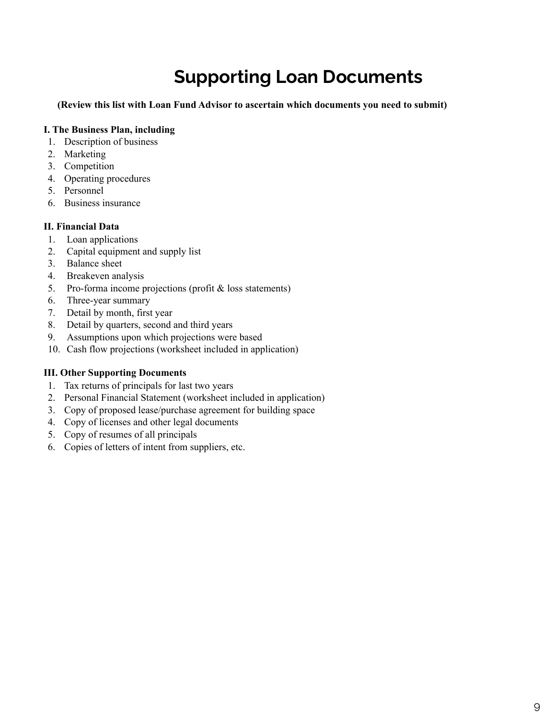# **Supporting Loan Documents**

**(Review this list with Loan Fund Advisor to ascertain which documents you need to submit)**

#### **I. The Business Plan, including**

- 1. Description of business
- 2. Marketing
- 3. Competition
- 4. Operating procedures
- 5. Personnel
- 6. Business insurance

#### **II. Financial Data**

- 1. Loan applications
- 2. Capital equipment and supply list
- 3. Balance sheet
- 4. Breakeven analysis
- 5. Pro-forma income projections (profit & loss statements)
- 6. Three-year summary
- 7. Detail by month, first year
- 8. Detail by quarters, second and third years
- 9. Assumptions upon which projections were based
- 10. Cash flow projections (worksheet included in application)

#### **III. Other Supporting Documents**

- 1. Tax returns of principals for last two years
- 2. Personal Financial Statement (worksheet included in application)
- 3. Copy of proposed lease/purchase agreement for building space
- 4. Copy of licenses and other legal documents
- 5. Copy of resumes of all principals
- 6. Copies of letters of intent from suppliers, etc.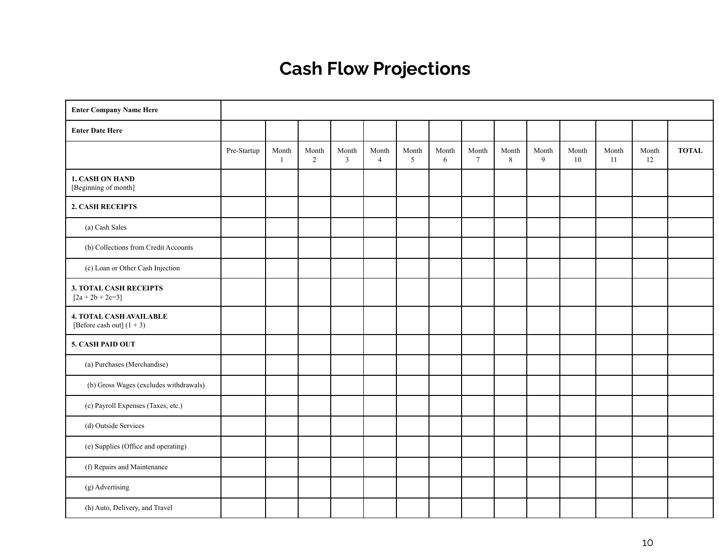# **Cash Flow Projections**

| <b>Enter Company Name Here</b>                                |             |                       |                         |                         |                         |            |            |                          |            |            |             |             |             |              |
|---------------------------------------------------------------|-------------|-----------------------|-------------------------|-------------------------|-------------------------|------------|------------|--------------------------|------------|------------|-------------|-------------|-------------|--------------|
| <b>Enter Date Here</b>                                        |             |                       |                         |                         |                         |            |            |                          |            |            |             |             |             |              |
|                                                               | Pre-Startup | Month<br>$\mathbf{1}$ | Month<br>$\overline{2}$ | Month<br>$\overline{3}$ | Month<br>$\overline{4}$ | Month<br>5 | Month<br>6 | Month<br>$7\phantom{.0}$ | Month<br>8 | Month<br>9 | Month<br>10 | Month<br>11 | Month<br>12 | <b>TOTAL</b> |
| 1. CASH ON HAND<br>[Beginning of month]                       |             |                       |                         |                         |                         |            |            |                          |            |            |             |             |             |              |
| 2. CASH RECEIPTS                                              |             |                       |                         |                         |                         |            |            |                          |            |            |             |             |             |              |
| (a) Cash Sales                                                |             |                       |                         |                         |                         |            |            |                          |            |            |             |             |             |              |
| (b) Collections from Credit Accounts                          |             |                       |                         |                         |                         |            |            |                          |            |            |             |             |             |              |
| (c) Loan or Other Cash Injection                              |             |                       |                         |                         |                         |            |            |                          |            |            |             |             |             |              |
| 3. TOTAL CASH RECEIPTS<br>$[2a + 2b + 2c=3]$                  |             |                       |                         |                         |                         |            |            |                          |            |            |             |             |             |              |
| <b>4. TOTAL CASH AVAILABLE</b><br>[Before cash out] $(1 + 3)$ |             |                       |                         |                         |                         |            |            |                          |            |            |             |             |             |              |
| 5. CASH PAID OUT                                              |             |                       |                         |                         |                         |            |            |                          |            |            |             |             |             |              |
| (a) Purchases (Merchandise)                                   |             |                       |                         |                         |                         |            |            |                          |            |            |             |             |             |              |
| (b) Gross Wages (excludes withdrawals)                        |             |                       |                         |                         |                         |            |            |                          |            |            |             |             |             |              |
| (c) Payroll Expenses (Taxes, etc.)                            |             |                       |                         |                         |                         |            |            |                          |            |            |             |             |             |              |
| (d) Outside Services                                          |             |                       |                         |                         |                         |            |            |                          |            |            |             |             |             |              |
| (e) Supplies (Office and operating)                           |             |                       |                         |                         |                         |            |            |                          |            |            |             |             |             |              |
| (f) Repairs and Maintenance                                   |             |                       |                         |                         |                         |            |            |                          |            |            |             |             |             |              |
| (g) Advertising                                               |             |                       |                         |                         |                         |            |            |                          |            |            |             |             |             |              |
| (h) Auto, Delivery, and Travel                                |             |                       |                         |                         |                         |            |            |                          |            |            |             |             |             |              |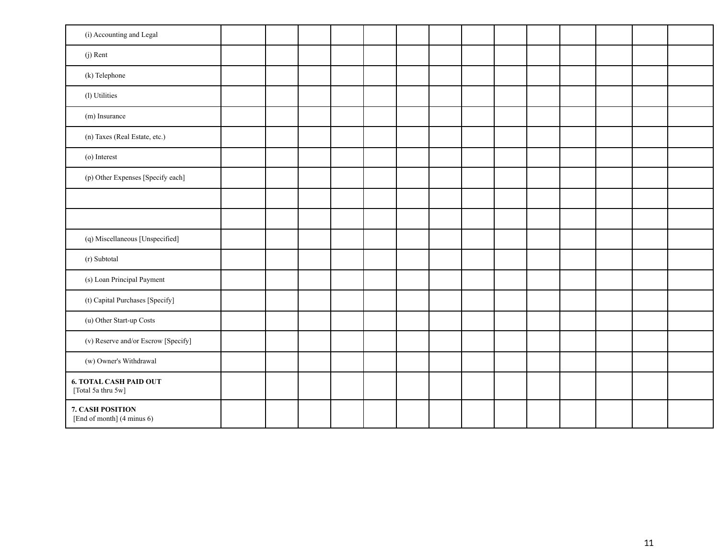| (i) Accounting and Legal                            |  |  |  |  |  |  |  |
|-----------------------------------------------------|--|--|--|--|--|--|--|
| (j) Rent                                            |  |  |  |  |  |  |  |
| (k) Telephone                                       |  |  |  |  |  |  |  |
| (l) Utilities                                       |  |  |  |  |  |  |  |
| (m) Insurance                                       |  |  |  |  |  |  |  |
| (n) Taxes (Real Estate, etc.)                       |  |  |  |  |  |  |  |
| (o) Interest                                        |  |  |  |  |  |  |  |
| (p) Other Expenses [Specify each]                   |  |  |  |  |  |  |  |
|                                                     |  |  |  |  |  |  |  |
|                                                     |  |  |  |  |  |  |  |
| (q) Miscellaneous [Unspecified]                     |  |  |  |  |  |  |  |
| (r) Subtotal                                        |  |  |  |  |  |  |  |
| (s) Loan Principal Payment                          |  |  |  |  |  |  |  |
| (t) Capital Purchases [Specify]                     |  |  |  |  |  |  |  |
| (u) Other Start-up Costs                            |  |  |  |  |  |  |  |
| (v) Reserve and/or Escrow [Specify]                 |  |  |  |  |  |  |  |
| (w) Owner's Withdrawal                              |  |  |  |  |  |  |  |
| <b>6. TOTAL CASH PAID OUT</b><br>[Total 5a thru 5w] |  |  |  |  |  |  |  |
| 7. CASH POSITION<br>[End of month] (4 minus 6)      |  |  |  |  |  |  |  |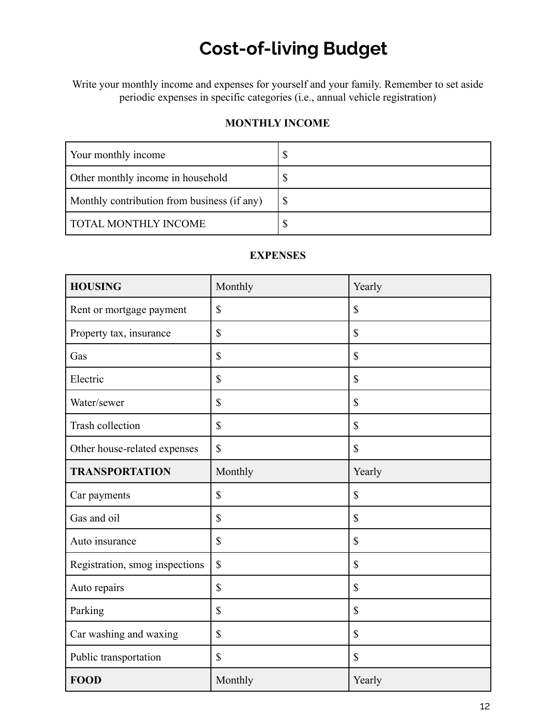# **Cost-of-living Budget**

Write your monthly income and expenses for yourself and your family. Remember to set aside periodic expenses in specific categories (i.e., annual vehicle registration)

### **MONTHLY INCOME**

| Your monthly income                         | Φ |
|---------------------------------------------|---|
| Other monthly income in household           |   |
| Monthly contribution from business (if any) |   |
| <b>TOTAL MONTHLY INCOME</b>                 |   |

#### **EXPENSES**

| <b>HOUSING</b>                 | Monthly                   | Yearly                    |
|--------------------------------|---------------------------|---------------------------|
| Rent or mortgage payment       | \$                        | \$                        |
| Property tax, insurance        | \$                        | \$                        |
| Gas                            | \$                        | \$                        |
| Electric                       | \$                        | \$                        |
| Water/sewer                    | \$                        | \$                        |
| Trash collection               | \$                        | \$                        |
| Other house-related expenses   | \$                        | \$                        |
| <b>TRANSPORTATION</b>          | Monthly                   | Yearly                    |
| Car payments                   | $\boldsymbol{\mathsf{S}}$ | $\boldsymbol{\mathsf{S}}$ |
| Gas and oil                    | \$                        | \$                        |
| Auto insurance                 | \$                        | \$                        |
| Registration, smog inspections | $\boldsymbol{\mathsf{S}}$ | \$                        |
| Auto repairs                   | \$                        | \$                        |
| Parking                        | $\mathbf S$               | \$                        |
| Car washing and waxing         | \$                        | \$                        |
| Public transportation          | \$                        | \$                        |
| <b>FOOD</b>                    | Monthly                   | Yearly                    |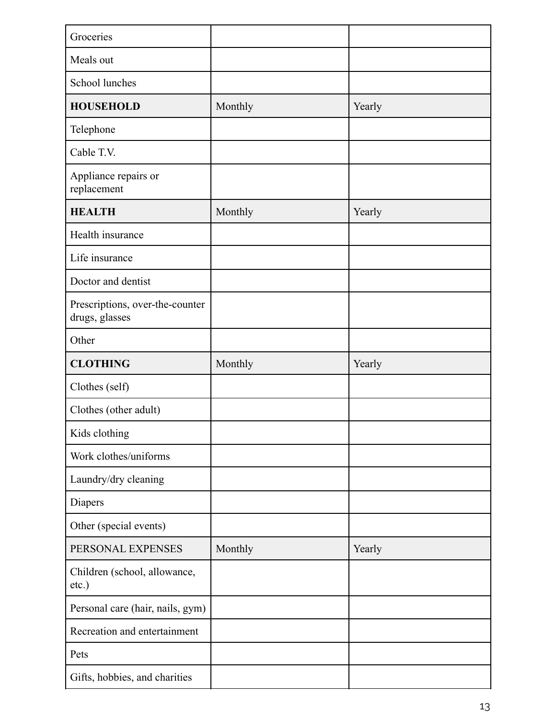| Groceries                                         |         |        |
|---------------------------------------------------|---------|--------|
| Meals out                                         |         |        |
| School lunches                                    |         |        |
| <b>HOUSEHOLD</b>                                  | Monthly | Yearly |
| Telephone                                         |         |        |
| Cable T.V.                                        |         |        |
| Appliance repairs or<br>replacement               |         |        |
| <b>HEALTH</b>                                     | Monthly | Yearly |
| Health insurance                                  |         |        |
| Life insurance                                    |         |        |
| Doctor and dentist                                |         |        |
| Prescriptions, over-the-counter<br>drugs, glasses |         |        |
| Other                                             |         |        |
| <b>CLOTHING</b>                                   | Monthly | Yearly |
|                                                   |         |        |
| Clothes (self)                                    |         |        |
| Clothes (other adult)                             |         |        |
| Kids clothing                                     |         |        |
| Work clothes/uniforms                             |         |        |
| Laundry/dry cleaning                              |         |        |
| Diapers                                           |         |        |
| Other (special events)                            |         |        |
| PERSONAL EXPENSES                                 | Monthly | Yearly |
| Children (school, allowance,<br>etc.)             |         |        |
| Personal care (hair, nails, gym)                  |         |        |
| Recreation and entertainment                      |         |        |
| Pets                                              |         |        |